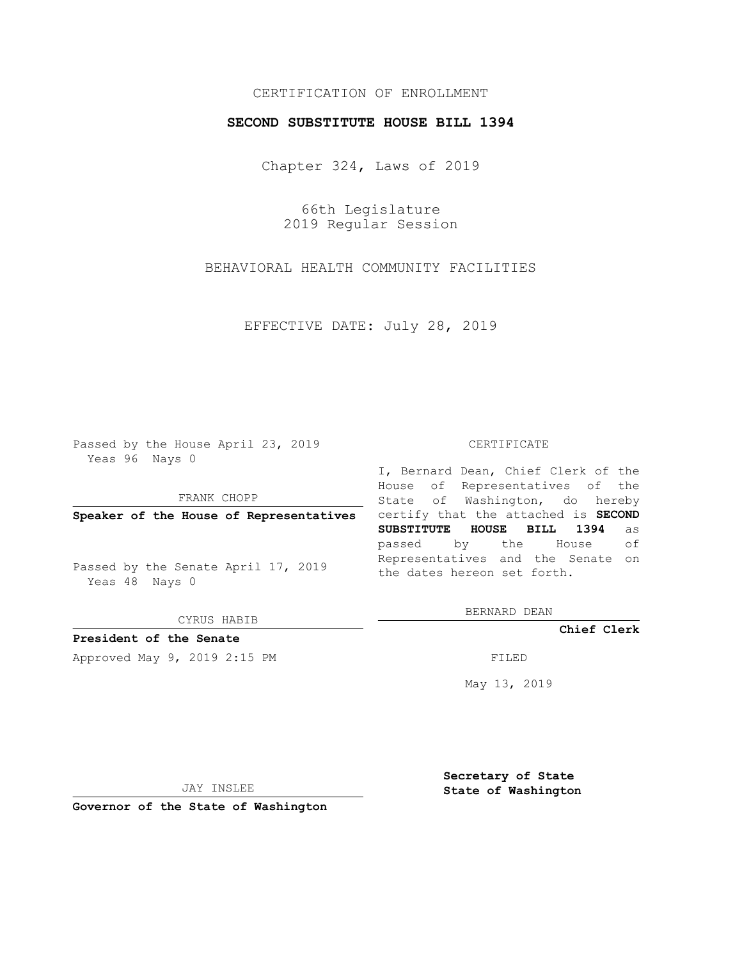## CERTIFICATION OF ENROLLMENT

## **SECOND SUBSTITUTE HOUSE BILL 1394**

Chapter 324, Laws of 2019

66th Legislature 2019 Regular Session

BEHAVIORAL HEALTH COMMUNITY FACILITIES

EFFECTIVE DATE: July 28, 2019

Passed by the House April 23, 2019 Yeas 96 Nays 0

FRANK CHOPP

Passed by the Senate April 17, 2019 Yeas 48 Nays 0

CYRUS HABIB

**President of the Senate**

Approved May 9, 2019 2:15 PM

#### CERTIFICATE

**Speaker of the House of Representatives** certify that the attached is **SECOND** I, Bernard Dean, Chief Clerk of the House of Representatives of the State of Washington, do hereby **SUBSTITUTE HOUSE BILL 1394** as passed by the House of Representatives and the Senate on the dates hereon set forth.

BERNARD DEAN

**Chief Clerk**

May 13, 2019

JAY INSLEE

**Governor of the State of Washington**

**Secretary of State State of Washington**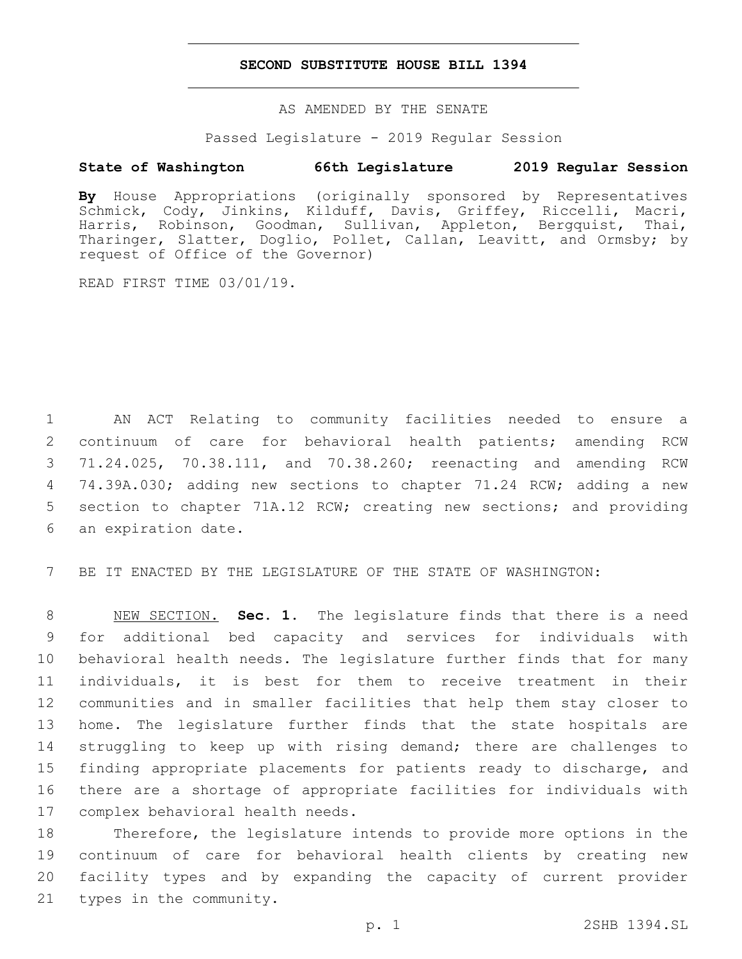## **SECOND SUBSTITUTE HOUSE BILL 1394**

AS AMENDED BY THE SENATE

Passed Legislature - 2019 Regular Session

# **State of Washington 66th Legislature 2019 Regular Session**

**By** House Appropriations (originally sponsored by Representatives Schmick, Cody, Jinkins, Kilduff, Davis, Griffey, Riccelli, Macri, Harris, Robinson, Goodman, Sullivan, Appleton, Bergquist, Thai, Tharinger, Slatter, Doglio, Pollet, Callan, Leavitt, and Ormsby; by request of Office of the Governor)

READ FIRST TIME 03/01/19.

 AN ACT Relating to community facilities needed to ensure a continuum of care for behavioral health patients; amending RCW 71.24.025, 70.38.111, and 70.38.260; reenacting and amending RCW 74.39A.030; adding new sections to chapter 71.24 RCW; adding a new section to chapter 71A.12 RCW; creating new sections; and providing 6 an expiration date.

7 BE IT ENACTED BY THE LEGISLATURE OF THE STATE OF WASHINGTON:

 NEW SECTION. **Sec. 1.** The legislature finds that there is a need for additional bed capacity and services for individuals with behavioral health needs. The legislature further finds that for many individuals, it is best for them to receive treatment in their communities and in smaller facilities that help them stay closer to home. The legislature further finds that the state hospitals are struggling to keep up with rising demand; there are challenges to 15 finding appropriate placements for patients ready to discharge, and there are a shortage of appropriate facilities for individuals with complex behavioral health needs.

 Therefore, the legislature intends to provide more options in the continuum of care for behavioral health clients by creating new facility types and by expanding the capacity of current provider 21 types in the community.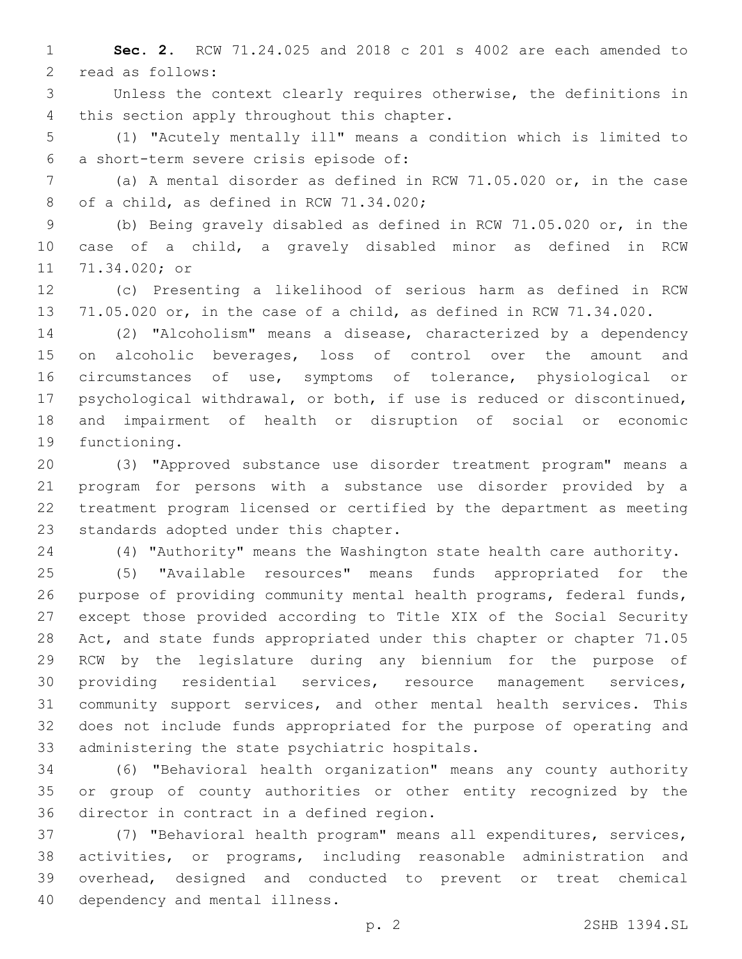**Sec. 2.** RCW 71.24.025 and 2018 c 201 s 4002 are each amended to 2 read as follows:

 Unless the context clearly requires otherwise, the definitions in 4 this section apply throughout this chapter.

 (1) "Acutely mentally ill" means a condition which is limited to a short-term severe crisis episode of:6

 (a) A mental disorder as defined in RCW 71.05.020 or, in the case 8 of a child, as defined in RCW 71.34.020;

 (b) Being gravely disabled as defined in RCW 71.05.020 or, in the case of a child, a gravely disabled minor as defined in RCW 11 71.34.020; or

 (c) Presenting a likelihood of serious harm as defined in RCW 71.05.020 or, in the case of a child, as defined in RCW 71.34.020.

 (2) "Alcoholism" means a disease, characterized by a dependency 15 on alcoholic beverages, loss of control over the amount and circumstances of use, symptoms of tolerance, physiological or psychological withdrawal, or both, if use is reduced or discontinued, and impairment of health or disruption of social or economic 19 functioning.

 (3) "Approved substance use disorder treatment program" means a program for persons with a substance use disorder provided by a treatment program licensed or certified by the department as meeting 23 standards adopted under this chapter.

(4) "Authority" means the Washington state health care authority.

 (5) "Available resources" means funds appropriated for the 26 purpose of providing community mental health programs, federal funds, except those provided according to Title XIX of the Social Security Act, and state funds appropriated under this chapter or chapter 71.05 RCW by the legislature during any biennium for the purpose of providing residential services, resource management services, community support services, and other mental health services. This does not include funds appropriated for the purpose of operating and 33 administering the state psychiatric hospitals.

 (6) "Behavioral health organization" means any county authority or group of county authorities or other entity recognized by the 36 director in contract in a defined region.

 (7) "Behavioral health program" means all expenditures, services, activities, or programs, including reasonable administration and overhead, designed and conducted to prevent or treat chemical 40 dependency and mental illness.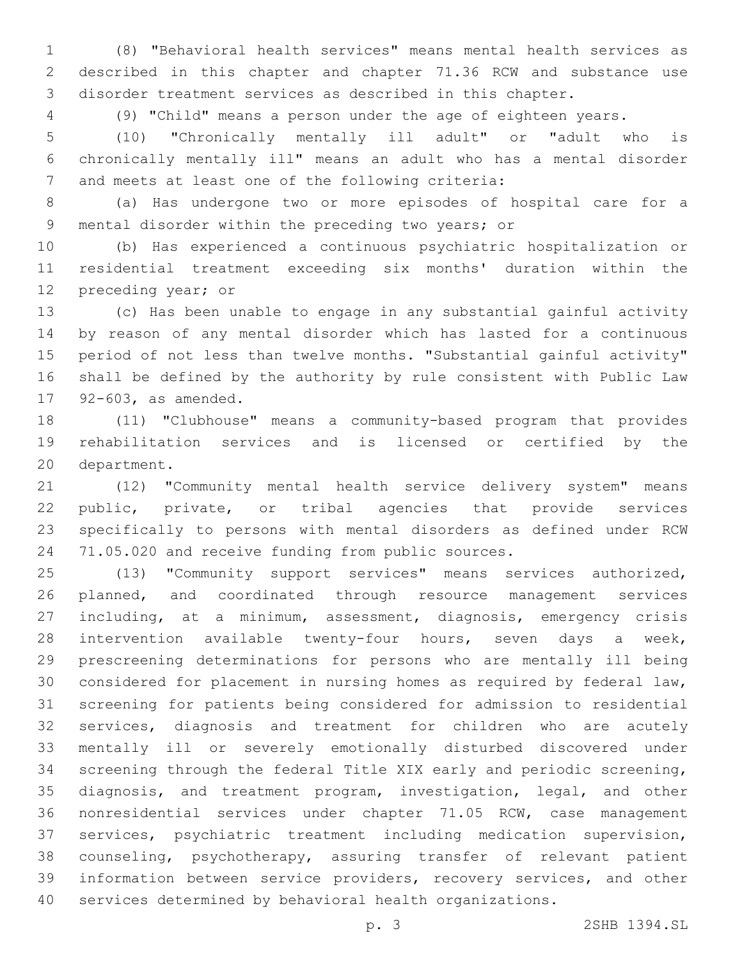(8) "Behavioral health services" means mental health services as described in this chapter and chapter 71.36 RCW and substance use disorder treatment services as described in this chapter.

(9) "Child" means a person under the age of eighteen years.

 (10) "Chronically mentally ill adult" or "adult who is chronically mentally ill" means an adult who has a mental disorder 7 and meets at least one of the following criteria:

 (a) Has undergone two or more episodes of hospital care for a 9 mental disorder within the preceding two years; or

 (b) Has experienced a continuous psychiatric hospitalization or residential treatment exceeding six months' duration within the 12 preceding year; or

 (c) Has been unable to engage in any substantial gainful activity by reason of any mental disorder which has lasted for a continuous period of not less than twelve months. "Substantial gainful activity" shall be defined by the authority by rule consistent with Public Law 17 92-603, as amended.

 (11) "Clubhouse" means a community-based program that provides rehabilitation services and is licensed or certified by the 20 department.

 (12) "Community mental health service delivery system" means public, private, or tribal agencies that provide services specifically to persons with mental disorders as defined under RCW 71.05.020 and receive funding from public sources.

 (13) "Community support services" means services authorized, planned, and coordinated through resource management services including, at a minimum, assessment, diagnosis, emergency crisis intervention available twenty-four hours, seven days a week, prescreening determinations for persons who are mentally ill being considered for placement in nursing homes as required by federal law, screening for patients being considered for admission to residential services, diagnosis and treatment for children who are acutely mentally ill or severely emotionally disturbed discovered under screening through the federal Title XIX early and periodic screening, diagnosis, and treatment program, investigation, legal, and other nonresidential services under chapter 71.05 RCW, case management services, psychiatric treatment including medication supervision, counseling, psychotherapy, assuring transfer of relevant patient information between service providers, recovery services, and other services determined by behavioral health organizations.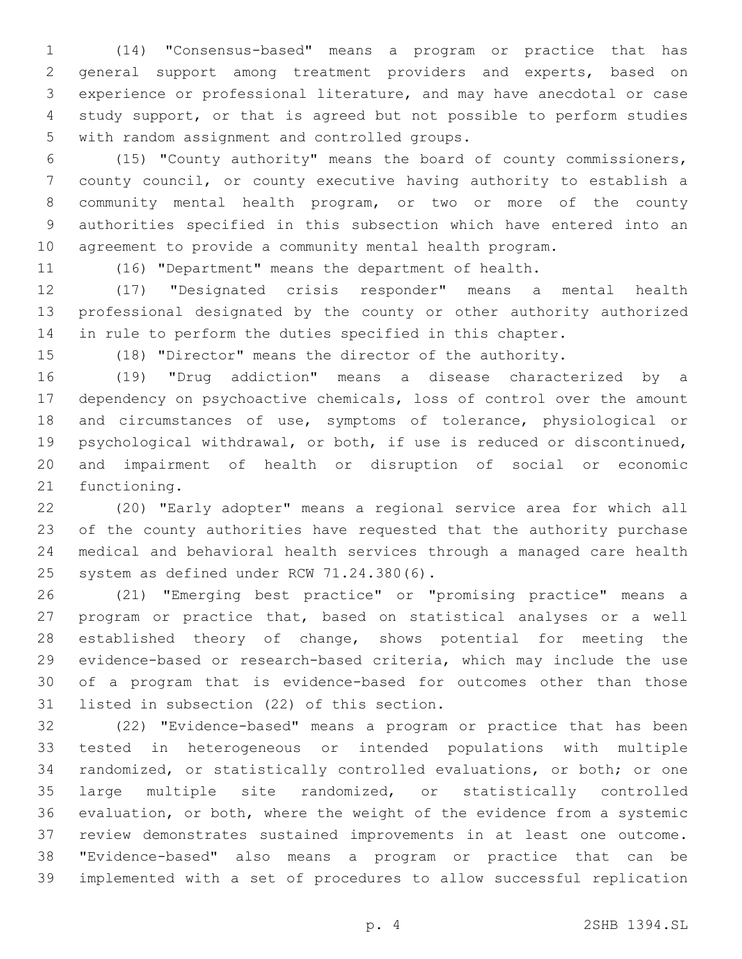(14) "Consensus-based" means a program or practice that has general support among treatment providers and experts, based on experience or professional literature, and may have anecdotal or case study support, or that is agreed but not possible to perform studies 5 with random assignment and controlled groups.

 (15) "County authority" means the board of county commissioners, county council, or county executive having authority to establish a community mental health program, or two or more of the county authorities specified in this subsection which have entered into an agreement to provide a community mental health program.

(16) "Department" means the department of health.

 (17) "Designated crisis responder" means a mental health professional designated by the county or other authority authorized in rule to perform the duties specified in this chapter.

(18) "Director" means the director of the authority.

 (19) "Drug addiction" means a disease characterized by a dependency on psychoactive chemicals, loss of control over the amount 18 and circumstances of use, symptoms of tolerance, physiological or psychological withdrawal, or both, if use is reduced or discontinued, and impairment of health or disruption of social or economic 21 functioning.

 (20) "Early adopter" means a regional service area for which all of the county authorities have requested that the authority purchase medical and behavioral health services through a managed care health 25 system as defined under RCW 71.24.380(6).

 (21) "Emerging best practice" or "promising practice" means a program or practice that, based on statistical analyses or a well established theory of change, shows potential for meeting the evidence-based or research-based criteria, which may include the use of a program that is evidence-based for outcomes other than those 31 listed in subsection (22) of this section.

 (22) "Evidence-based" means a program or practice that has been tested in heterogeneous or intended populations with multiple randomized, or statistically controlled evaluations, or both; or one large multiple site randomized, or statistically controlled evaluation, or both, where the weight of the evidence from a systemic review demonstrates sustained improvements in at least one outcome. "Evidence-based" also means a program or practice that can be implemented with a set of procedures to allow successful replication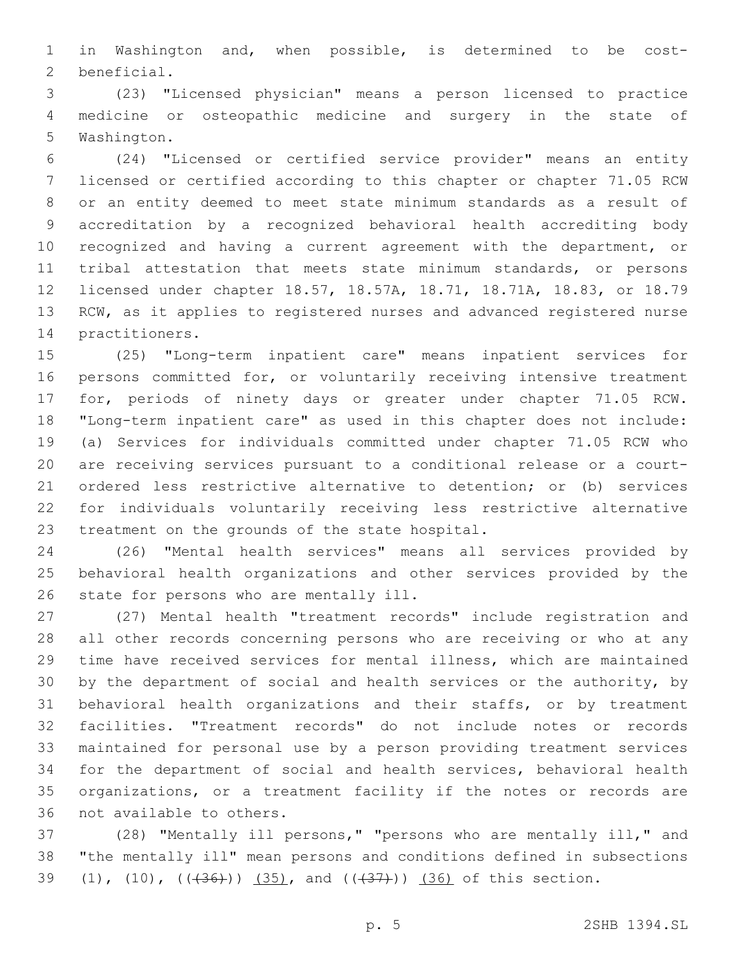in Washington and, when possible, is determined to be cost-2 beneficial.

 (23) "Licensed physician" means a person licensed to practice medicine or osteopathic medicine and surgery in the state of 5 Washington.

 (24) "Licensed or certified service provider" means an entity licensed or certified according to this chapter or chapter 71.05 RCW or an entity deemed to meet state minimum standards as a result of accreditation by a recognized behavioral health accrediting body recognized and having a current agreement with the department, or tribal attestation that meets state minimum standards, or persons licensed under chapter 18.57, 18.57A, 18.71, 18.71A, 18.83, or 18.79 RCW, as it applies to registered nurses and advanced registered nurse 14 practitioners.

 (25) "Long-term inpatient care" means inpatient services for persons committed for, or voluntarily receiving intensive treatment for, periods of ninety days or greater under chapter 71.05 RCW. "Long-term inpatient care" as used in this chapter does not include: (a) Services for individuals committed under chapter 71.05 RCW who are receiving services pursuant to a conditional release or a court- ordered less restrictive alternative to detention; or (b) services for individuals voluntarily receiving less restrictive alternative 23 treatment on the grounds of the state hospital.

 (26) "Mental health services" means all services provided by behavioral health organizations and other services provided by the 26 state for persons who are mentally ill.

 (27) Mental health "treatment records" include registration and all other records concerning persons who are receiving or who at any time have received services for mental illness, which are maintained by the department of social and health services or the authority, by behavioral health organizations and their staffs, or by treatment facilities. "Treatment records" do not include notes or records maintained for personal use by a person providing treatment services for the department of social and health services, behavioral health organizations, or a treatment facility if the notes or records are 36 not available to others.

 (28) "Mentally ill persons," "persons who are mentally ill," and "the mentally ill" mean persons and conditions defined in subsections 39 (1), (10),  $((+36))$  (35), and  $((+37))$  (36) of this section.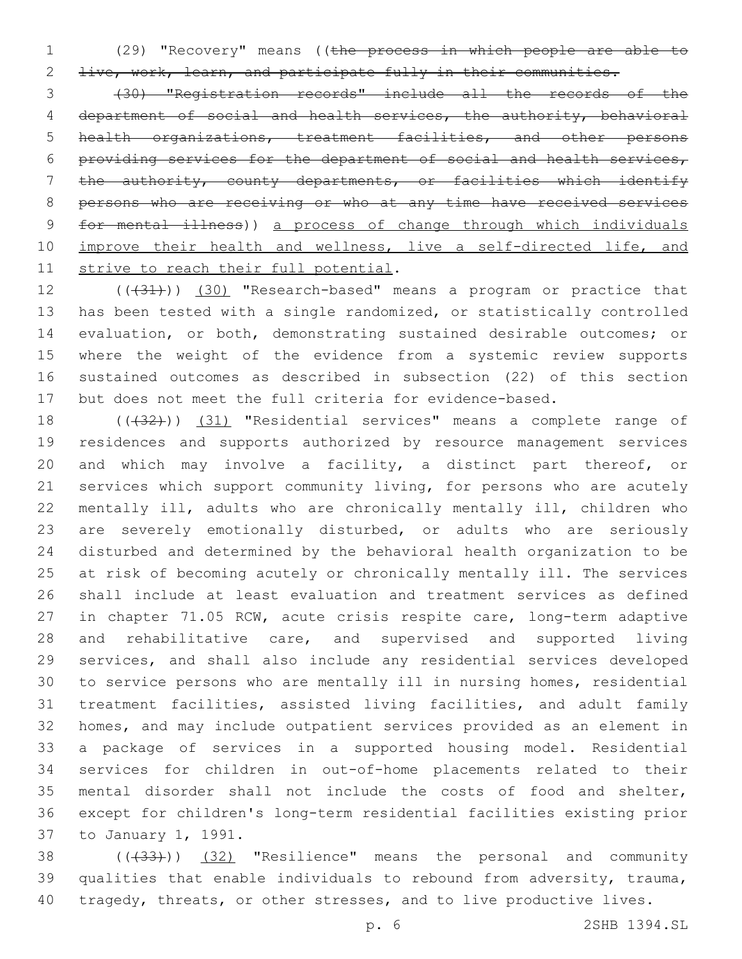(29) "Recovery" means ((the process in which people are able to 2 live, work, learn, and participate fully in their communities.

 (30) "Registration records" include all the records of the department of social and health services, the authority, behavioral health organizations, treatment facilities, and other persons providing services for the department of social and health services, the authority, county departments, or facilities which identify persons who are receiving or who at any time have received services for mental illness)) a process of change through which individuals 10 improve their health and wellness, live a self-directed life, and 11 strive to reach their full potential.

12 (( $(31)$ )) (30) "Research-based" means a program or practice that has been tested with a single randomized, or statistically controlled evaluation, or both, demonstrating sustained desirable outcomes; or where the weight of the evidence from a systemic review supports sustained outcomes as described in subsection (22) of this section but does not meet the full criteria for evidence-based.

18 (((432))) (31) "Residential services" means a complete range of residences and supports authorized by resource management services and which may involve a facility, a distinct part thereof, or services which support community living, for persons who are acutely mentally ill, adults who are chronically mentally ill, children who are severely emotionally disturbed, or adults who are seriously disturbed and determined by the behavioral health organization to be at risk of becoming acutely or chronically mentally ill. The services shall include at least evaluation and treatment services as defined in chapter 71.05 RCW, acute crisis respite care, long-term adaptive and rehabilitative care, and supervised and supported living services, and shall also include any residential services developed to service persons who are mentally ill in nursing homes, residential treatment facilities, assisted living facilities, and adult family homes, and may include outpatient services provided as an element in a package of services in a supported housing model. Residential services for children in out-of-home placements related to their mental disorder shall not include the costs of food and shelter, except for children's long-term residential facilities existing prior 37 to January 1, 1991.

38 (((433))) (32) "Resilience" means the personal and community qualities that enable individuals to rebound from adversity, trauma, 40 tragedy, threats, or other stresses, and to live productive lives.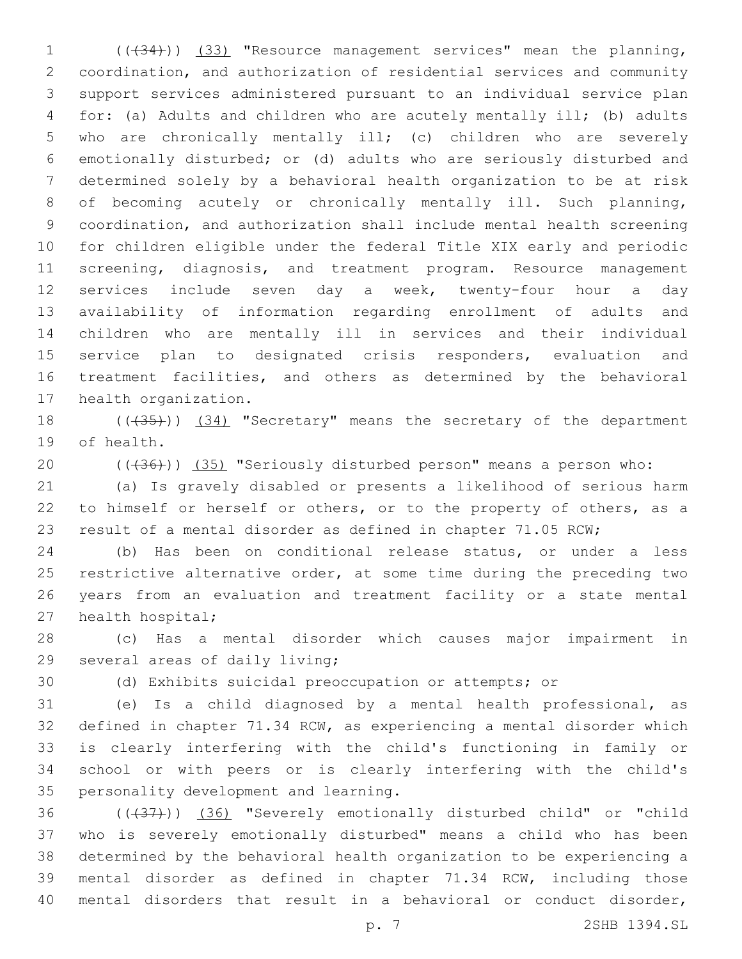(((34))) (33) "Resource management services" mean the planning, coordination, and authorization of residential services and community support services administered pursuant to an individual service plan for: (a) Adults and children who are acutely mentally ill; (b) adults who are chronically mentally ill; (c) children who are severely emotionally disturbed; or (d) adults who are seriously disturbed and determined solely by a behavioral health organization to be at risk of becoming acutely or chronically mentally ill. Such planning, coordination, and authorization shall include mental health screening for children eligible under the federal Title XIX early and periodic 11 screening, diagnosis, and treatment program. Resource management services include seven day a week, twenty-four hour a day availability of information regarding enrollment of adults and children who are mentally ill in services and their individual service plan to designated crisis responders, evaluation and treatment facilities, and others as determined by the behavioral 17 health organization.

18 (((435))) (34) "Secretary" means the secretary of the department 19 of health.

20 (( $(36)$ )) (35) "Seriously disturbed person" means a person who:

 (a) Is gravely disabled or presents a likelihood of serious harm 22 to himself or herself or others, or to the property of others, as a result of a mental disorder as defined in chapter 71.05 RCW;

 (b) Has been on conditional release status, or under a less restrictive alternative order, at some time during the preceding two years from an evaluation and treatment facility or a state mental 27 health hospital;

 (c) Has a mental disorder which causes major impairment in 29 several areas of daily living;

(d) Exhibits suicidal preoccupation or attempts; or

 (e) Is a child diagnosed by a mental health professional, as defined in chapter 71.34 RCW, as experiencing a mental disorder which is clearly interfering with the child's functioning in family or school or with peers or is clearly interfering with the child's 35 personality development and learning.

36 (((437))) (36) "Severely emotionally disturbed child" or "child" who is severely emotionally disturbed" means a child who has been determined by the behavioral health organization to be experiencing a mental disorder as defined in chapter 71.34 RCW, including those mental disorders that result in a behavioral or conduct disorder,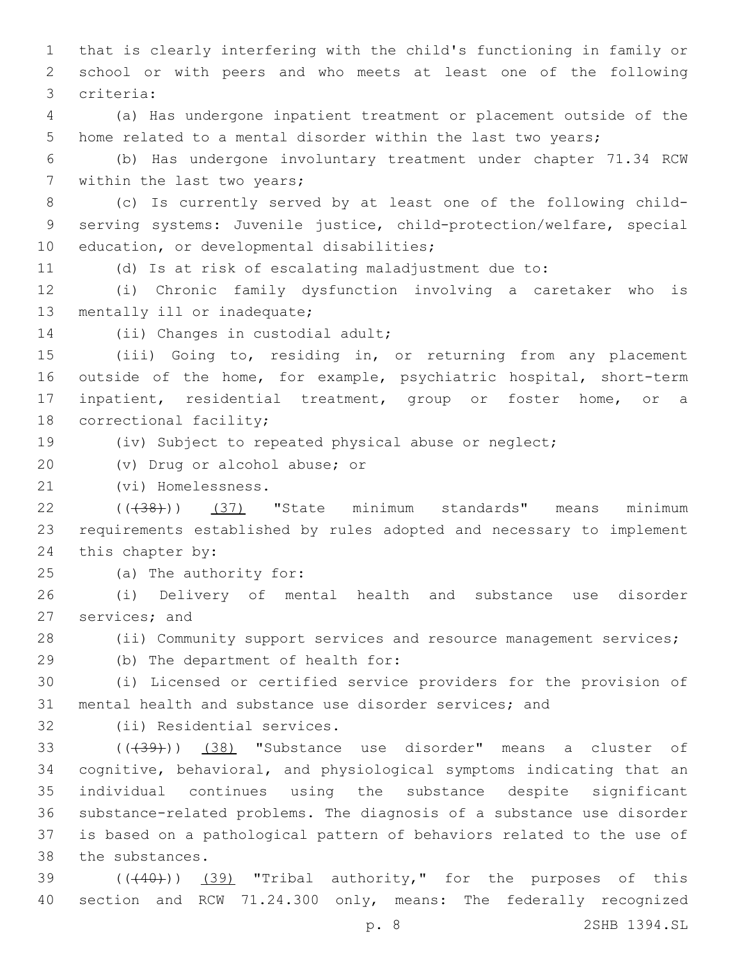1 that is clearly interfering with the child's functioning in family or 2 school or with peers and who meets at least one of the following criteria:3

4 (a) Has undergone inpatient treatment or placement outside of the 5 home related to a mental disorder within the last two years;

6 (b) Has undergone involuntary treatment under chapter 71.34 RCW 7 within the last two years;

8 (c) Is currently served by at least one of the following child-9 serving systems: Juvenile justice, child-protection/welfare, special 10 education, or developmental disabilities;

11 (d) Is at risk of escalating maladjustment due to:

12 (i) Chronic family dysfunction involving a caretaker who is 13 mentally ill or inadequate;

14 (ii) Changes in custodial adult;

 (iii) Going to, residing in, or returning from any placement outside of the home, for example, psychiatric hospital, short-term inpatient, residential treatment, group or foster home, or a 18 correctional facility;

19 (iv) Subject to repeated physical abuse or neglect;

20 (v) Drug or alcohol abuse; or

21 (vi) Homelessness.

22 (( $(38)$ )) (37) "State minimum standards" means minimum 23 requirements established by rules adopted and necessary to implement 24 this chapter by:

25 (a) The authority for:

26 (i) Delivery of mental health and substance use disorder 27 services; and

28 (ii) Community support services and resource management services;

29 (b) The department of health for:

30 (i) Licensed or certified service providers for the provision of 31 mental health and substance use disorder services; and

32 (ii) Residential services.

33 ((+39))) (38) "Substance use disorder" means a cluster of cognitive, behavioral, and physiological symptoms indicating that an individual continues using the substance despite significant substance-related problems. The diagnosis of a substance use disorder is based on a pathological pattern of behaviors related to the use of 38 the substances.

 $39$  ( $(440)$ )  $(39)$  "Tribal authority," for the purposes of this 40 section and RCW 71.24.300 only, means: The federally recognized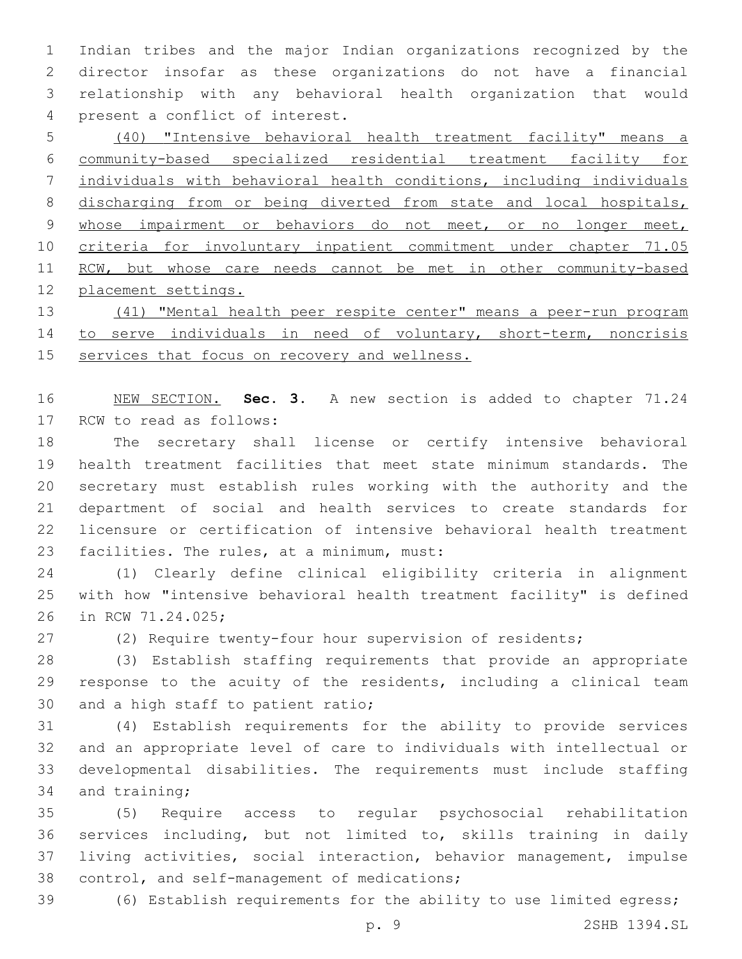Indian tribes and the major Indian organizations recognized by the director insofar as these organizations do not have a financial relationship with any behavioral health organization that would present a conflict of interest.4

 (40) "Intensive behavioral health treatment facility" means a community-based specialized residential treatment facility for individuals with behavioral health conditions, including individuals 8 discharging from or being diverted from state and local hospitals, 9 whose impairment or behaviors do not meet, or no longer meet, criteria for involuntary inpatient commitment under chapter 71.05 11 RCW, but whose care needs cannot be met in other community-based placement settings.

 (41) "Mental health peer respite center" means a peer-run program 14 to serve individuals in need of voluntary, short-term, noncrisis services that focus on recovery and wellness.

 NEW SECTION. **Sec. 3.** A new section is added to chapter 71.24 17 RCW to read as follows:

 The secretary shall license or certify intensive behavioral health treatment facilities that meet state minimum standards. The secretary must establish rules working with the authority and the department of social and health services to create standards for licensure or certification of intensive behavioral health treatment 23 facilities. The rules, at a minimum, must:

 (1) Clearly define clinical eligibility criteria in alignment with how "intensive behavioral health treatment facility" is defined 26 in RCW 71.24.025;

(2) Require twenty-four hour supervision of residents;

 (3) Establish staffing requirements that provide an appropriate response to the acuity of the residents, including a clinical team 30 and a high staff to patient ratio;

 (4) Establish requirements for the ability to provide services and an appropriate level of care to individuals with intellectual or developmental disabilities. The requirements must include staffing 34 and training;

 (5) Require access to regular psychosocial rehabilitation services including, but not limited to, skills training in daily living activities, social interaction, behavior management, impulse 38 control, and self-management of medications;

(6) Establish requirements for the ability to use limited egress;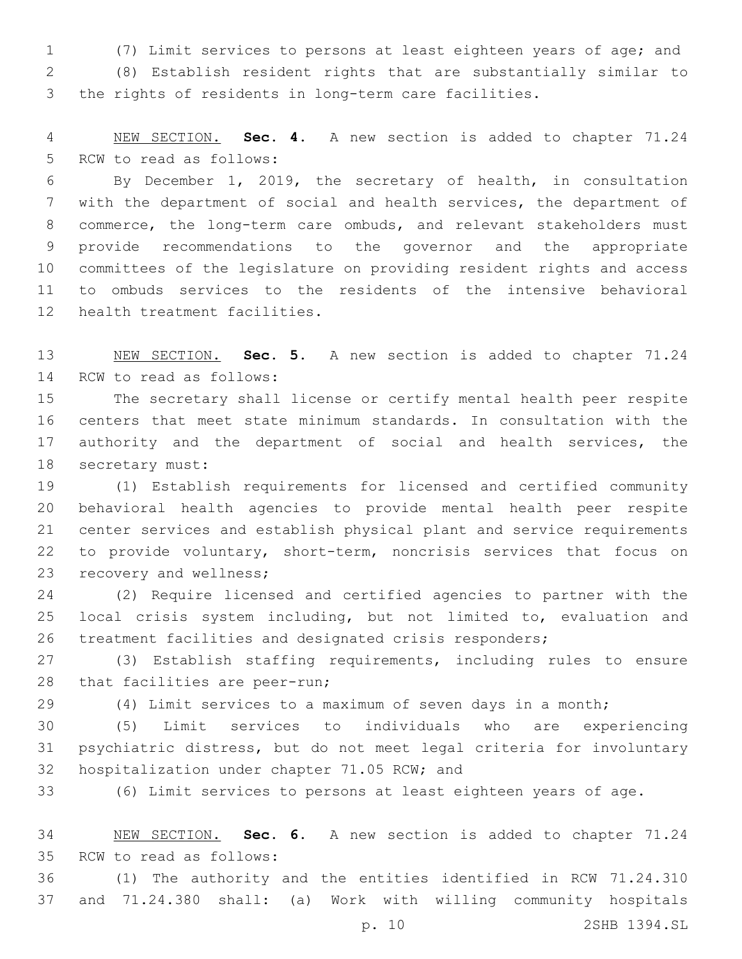(7) Limit services to persons at least eighteen years of age; and

 (8) Establish resident rights that are substantially similar to the rights of residents in long-term care facilities.

 NEW SECTION. **Sec. 4.** A new section is added to chapter 71.24 5 RCW to read as follows:

 By December 1, 2019, the secretary of health, in consultation with the department of social and health services, the department of commerce, the long-term care ombuds, and relevant stakeholders must provide recommendations to the governor and the appropriate committees of the legislature on providing resident rights and access to ombuds services to the residents of the intensive behavioral 12 health treatment facilities.

 NEW SECTION. **Sec. 5.** A new section is added to chapter 71.24 14 RCW to read as follows:

 The secretary shall license or certify mental health peer respite centers that meet state minimum standards. In consultation with the authority and the department of social and health services, the 18 secretary must:

 (1) Establish requirements for licensed and certified community behavioral health agencies to provide mental health peer respite center services and establish physical plant and service requirements to provide voluntary, short-term, noncrisis services that focus on 23 recovery and wellness;

 (2) Require licensed and certified agencies to partner with the local crisis system including, but not limited to, evaluation and treatment facilities and designated crisis responders;

 (3) Establish staffing requirements, including rules to ensure 28 that facilities are peer-run;

(4) Limit services to a maximum of seven days in a month;

 (5) Limit services to individuals who are experiencing psychiatric distress, but do not meet legal criteria for involuntary 32 hospitalization under chapter 71.05 RCW; and

(6) Limit services to persons at least eighteen years of age.

 NEW SECTION. **Sec. 6.** A new section is added to chapter 71.24 35 RCW to read as follows:

 (1) The authority and the entities identified in RCW 71.24.310 and 71.24.380 shall: (a) Work with willing community hospitals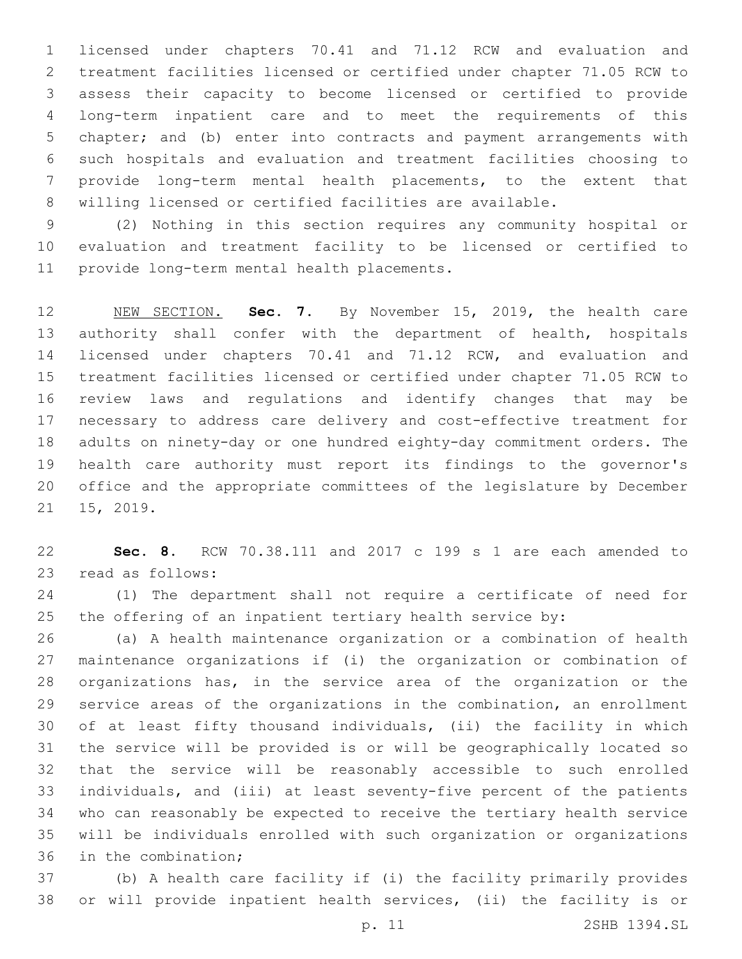licensed under chapters 70.41 and 71.12 RCW and evaluation and treatment facilities licensed or certified under chapter 71.05 RCW to assess their capacity to become licensed or certified to provide long-term inpatient care and to meet the requirements of this chapter; and (b) enter into contracts and payment arrangements with such hospitals and evaluation and treatment facilities choosing to provide long-term mental health placements, to the extent that willing licensed or certified facilities are available.

 (2) Nothing in this section requires any community hospital or evaluation and treatment facility to be licensed or certified to 11 provide long-term mental health placements.

 NEW SECTION. **Sec. 7.** By November 15, 2019, the health care authority shall confer with the department of health, hospitals licensed under chapters 70.41 and 71.12 RCW, and evaluation and treatment facilities licensed or certified under chapter 71.05 RCW to review laws and regulations and identify changes that may be necessary to address care delivery and cost-effective treatment for adults on ninety-day or one hundred eighty-day commitment orders. The health care authority must report its findings to the governor's office and the appropriate committees of the legislature by December 15, 2019.

 **Sec. 8.** RCW 70.38.111 and 2017 c 199 s 1 are each amended to 23 read as follows:

 (1) The department shall not require a certificate of need for the offering of an inpatient tertiary health service by:

 (a) A health maintenance organization or a combination of health maintenance organizations if (i) the organization or combination of organizations has, in the service area of the organization or the service areas of the organizations in the combination, an enrollment of at least fifty thousand individuals, (ii) the facility in which the service will be provided is or will be geographically located so that the service will be reasonably accessible to such enrolled individuals, and (iii) at least seventy-five percent of the patients who can reasonably be expected to receive the tertiary health service will be individuals enrolled with such organization or organizations 36 in the combination;

 (b) A health care facility if (i) the facility primarily provides or will provide inpatient health services, (ii) the facility is or

p. 11 2SHB 1394.SL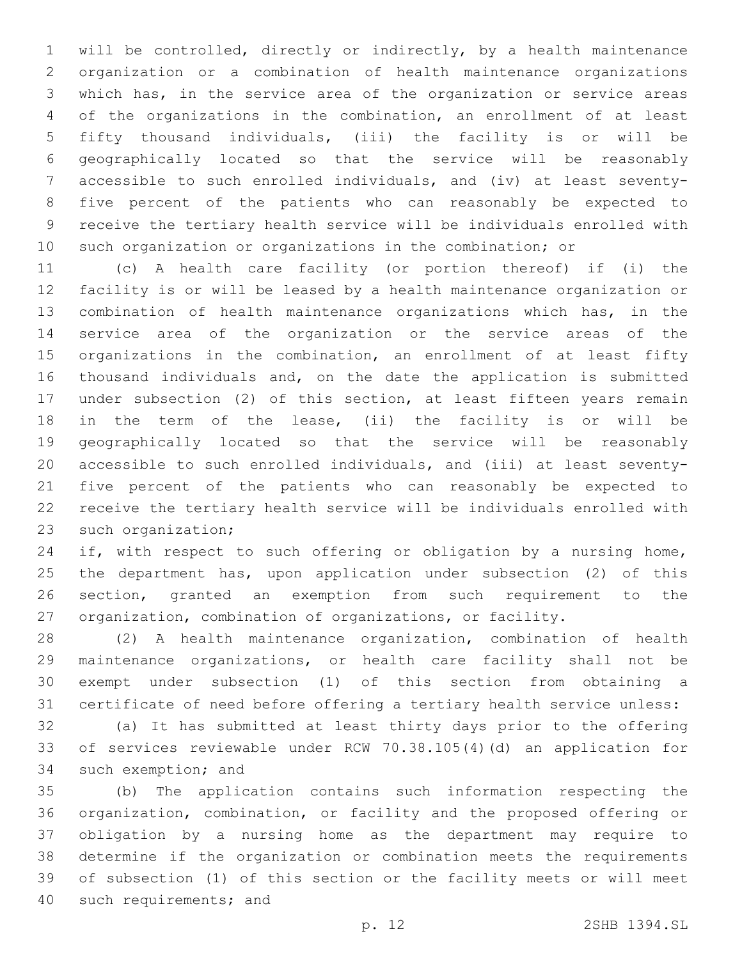will be controlled, directly or indirectly, by a health maintenance organization or a combination of health maintenance organizations which has, in the service area of the organization or service areas of the organizations in the combination, an enrollment of at least fifty thousand individuals, (iii) the facility is or will be geographically located so that the service will be reasonably accessible to such enrolled individuals, and (iv) at least seventy- five percent of the patients who can reasonably be expected to receive the tertiary health service will be individuals enrolled with such organization or organizations in the combination; or

 (c) A health care facility (or portion thereof) if (i) the facility is or will be leased by a health maintenance organization or combination of health maintenance organizations which has, in the service area of the organization or the service areas of the 15 organizations in the combination, an enrollment of at least fifty thousand individuals and, on the date the application is submitted under subsection (2) of this section, at least fifteen years remain in the term of the lease, (ii) the facility is or will be geographically located so that the service will be reasonably accessible to such enrolled individuals, and (iii) at least seventy- five percent of the patients who can reasonably be expected to receive the tertiary health service will be individuals enrolled with 23 such organization;

24 if, with respect to such offering or obligation by a nursing home, the department has, upon application under subsection (2) of this section, granted an exemption from such requirement to the organization, combination of organizations, or facility.

 (2) A health maintenance organization, combination of health maintenance organizations, or health care facility shall not be exempt under subsection (1) of this section from obtaining a certificate of need before offering a tertiary health service unless:

 (a) It has submitted at least thirty days prior to the offering of services reviewable under RCW 70.38.105(4)(d) an application for 34 such exemption; and

 (b) The application contains such information respecting the organization, combination, or facility and the proposed offering or obligation by a nursing home as the department may require to determine if the organization or combination meets the requirements of subsection (1) of this section or the facility meets or will meet 40 such requirements; and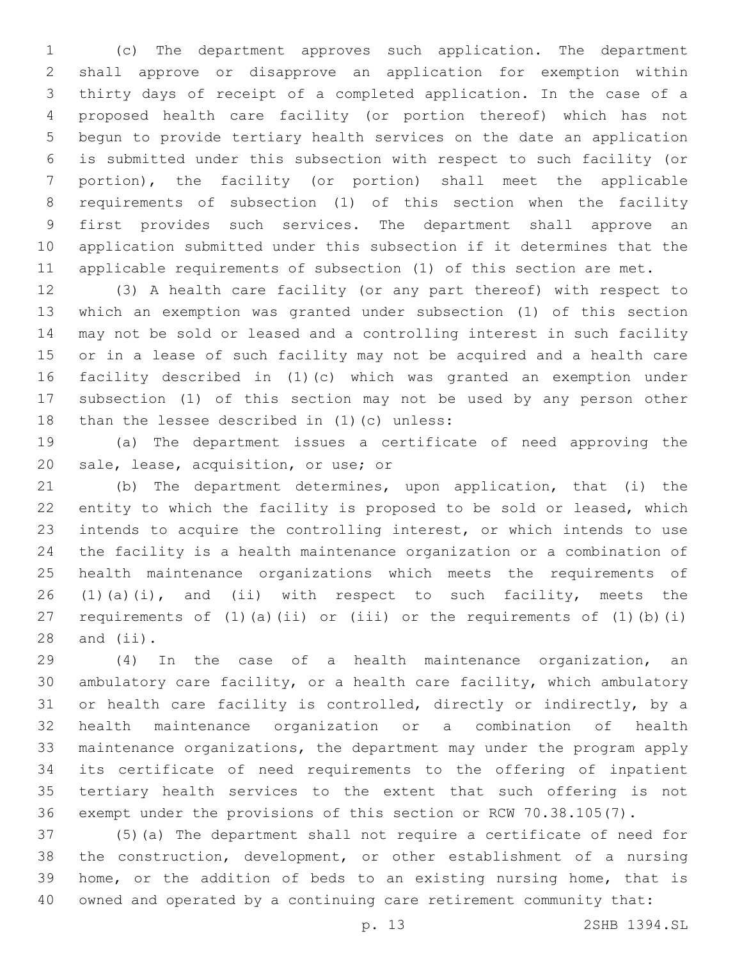(c) The department approves such application. The department shall approve or disapprove an application for exemption within thirty days of receipt of a completed application. In the case of a proposed health care facility (or portion thereof) which has not begun to provide tertiary health services on the date an application is submitted under this subsection with respect to such facility (or portion), the facility (or portion) shall meet the applicable requirements of subsection (1) of this section when the facility first provides such services. The department shall approve an application submitted under this subsection if it determines that the applicable requirements of subsection (1) of this section are met.

 (3) A health care facility (or any part thereof) with respect to which an exemption was granted under subsection (1) of this section may not be sold or leased and a controlling interest in such facility or in a lease of such facility may not be acquired and a health care facility described in (1)(c) which was granted an exemption under subsection (1) of this section may not be used by any person other 18 than the lessee described in  $(1)(c)$  unless:

 (a) The department issues a certificate of need approving the 20 sale, lease, acquisition, or use; or

 (b) The department determines, upon application, that (i) the entity to which the facility is proposed to be sold or leased, which intends to acquire the controlling interest, or which intends to use the facility is a health maintenance organization or a combination of health maintenance organizations which meets the requirements of 26 (1)(a)(i), and (ii) with respect to such facility, meets the requirements of (1)(a)(ii) or (iii) or the requirements of (1)(b)(i) and  $(iii)$ .

 (4) In the case of a health maintenance organization, an ambulatory care facility, or a health care facility, which ambulatory or health care facility is controlled, directly or indirectly, by a health maintenance organization or a combination of health maintenance organizations, the department may under the program apply its certificate of need requirements to the offering of inpatient tertiary health services to the extent that such offering is not exempt under the provisions of this section or RCW 70.38.105(7).

 (5)(a) The department shall not require a certificate of need for the construction, development, or other establishment of a nursing home, or the addition of beds to an existing nursing home, that is owned and operated by a continuing care retirement community that:

p. 13 2SHB 1394.SL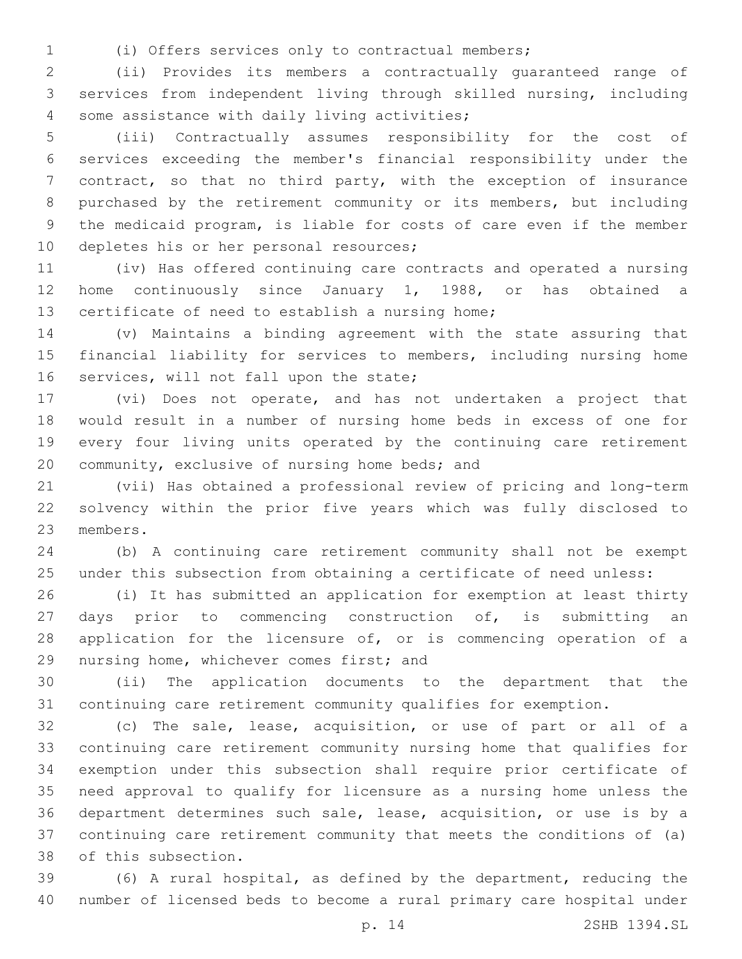(i) Offers services only to contractual members;

 (ii) Provides its members a contractually guaranteed range of services from independent living through skilled nursing, including 4 some assistance with daily living activities;

 (iii) Contractually assumes responsibility for the cost of services exceeding the member's financial responsibility under the contract, so that no third party, with the exception of insurance purchased by the retirement community or its members, but including the medicaid program, is liable for costs of care even if the member 10 depletes his or her personal resources;

 (iv) Has offered continuing care contracts and operated a nursing home continuously since January 1, 1988, or has obtained a 13 certificate of need to establish a nursing home;

 (v) Maintains a binding agreement with the state assuring that financial liability for services to members, including nursing home 16 services, will not fall upon the state;

 (vi) Does not operate, and has not undertaken a project that would result in a number of nursing home beds in excess of one for every four living units operated by the continuing care retirement 20 community, exclusive of nursing home beds; and

 (vii) Has obtained a professional review of pricing and long-term solvency within the prior five years which was fully disclosed to 23 members.

 (b) A continuing care retirement community shall not be exempt under this subsection from obtaining a certificate of need unless:

 (i) It has submitted an application for exemption at least thirty 27 days prior to commencing construction of, is submitting an 28 application for the licensure of, or is commencing operation of a 29 nursing home, whichever comes first; and

 (ii) The application documents to the department that the continuing care retirement community qualifies for exemption.

 (c) The sale, lease, acquisition, or use of part or all of a continuing care retirement community nursing home that qualifies for exemption under this subsection shall require prior certificate of need approval to qualify for licensure as a nursing home unless the department determines such sale, lease, acquisition, or use is by a continuing care retirement community that meets the conditions of (a) 38 of this subsection.

 (6) A rural hospital, as defined by the department, reducing the number of licensed beds to become a rural primary care hospital under

p. 14 2SHB 1394.SL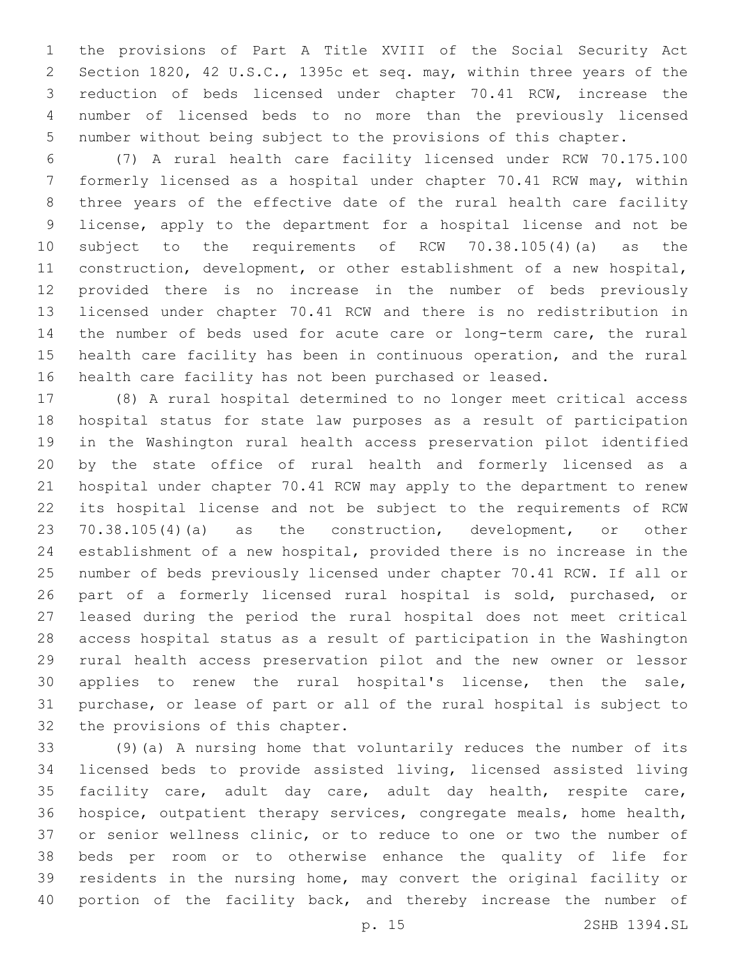the provisions of Part A Title XVIII of the Social Security Act Section 1820, 42 U.S.C., 1395c et seq. may, within three years of the reduction of beds licensed under chapter 70.41 RCW, increase the number of licensed beds to no more than the previously licensed number without being subject to the provisions of this chapter.

 (7) A rural health care facility licensed under RCW 70.175.100 formerly licensed as a hospital under chapter 70.41 RCW may, within three years of the effective date of the rural health care facility license, apply to the department for a hospital license and not be subject to the requirements of RCW 70.38.105(4)(a) as the construction, development, or other establishment of a new hospital, provided there is no increase in the number of beds previously licensed under chapter 70.41 RCW and there is no redistribution in the number of beds used for acute care or long-term care, the rural health care facility has been in continuous operation, and the rural health care facility has not been purchased or leased.

 (8) A rural hospital determined to no longer meet critical access hospital status for state law purposes as a result of participation in the Washington rural health access preservation pilot identified by the state office of rural health and formerly licensed as a hospital under chapter 70.41 RCW may apply to the department to renew its hospital license and not be subject to the requirements of RCW 70.38.105(4)(a) as the construction, development, or other establishment of a new hospital, provided there is no increase in the number of beds previously licensed under chapter 70.41 RCW. If all or part of a formerly licensed rural hospital is sold, purchased, or leased during the period the rural hospital does not meet critical access hospital status as a result of participation in the Washington rural health access preservation pilot and the new owner or lessor applies to renew the rural hospital's license, then the sale, purchase, or lease of part or all of the rural hospital is subject to 32 the provisions of this chapter.

 (9)(a) A nursing home that voluntarily reduces the number of its licensed beds to provide assisted living, licensed assisted living facility care, adult day care, adult day health, respite care, hospice, outpatient therapy services, congregate meals, home health, or senior wellness clinic, or to reduce to one or two the number of beds per room or to otherwise enhance the quality of life for residents in the nursing home, may convert the original facility or 40 portion of the facility back, and thereby increase the number of

p. 15 2SHB 1394.SL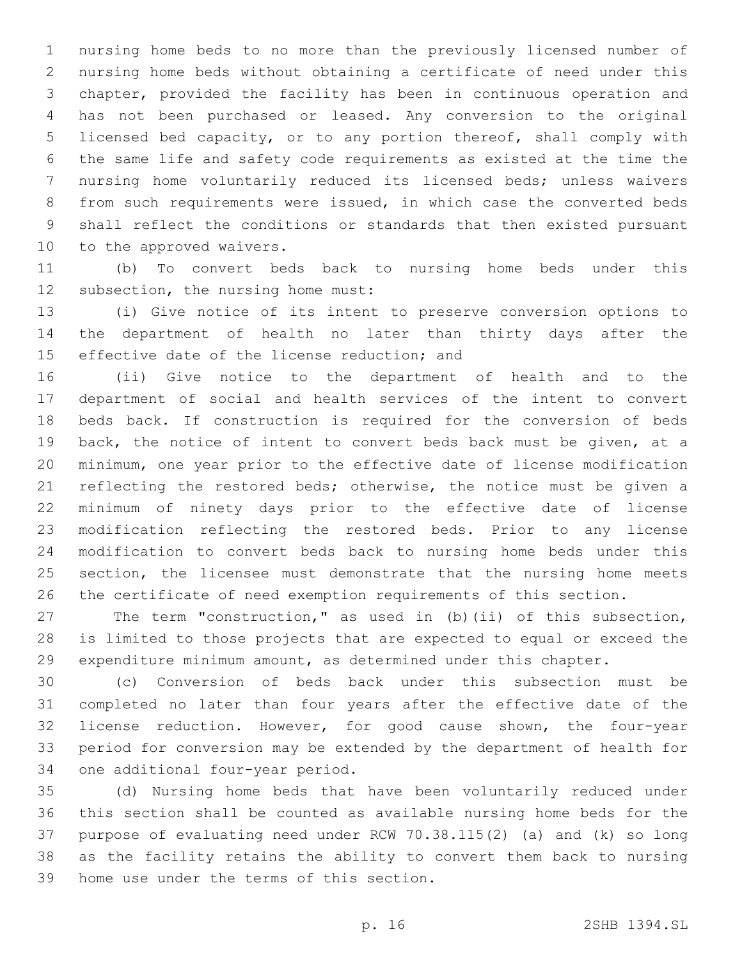nursing home beds to no more than the previously licensed number of nursing home beds without obtaining a certificate of need under this chapter, provided the facility has been in continuous operation and has not been purchased or leased. Any conversion to the original licensed bed capacity, or to any portion thereof, shall comply with the same life and safety code requirements as existed at the time the nursing home voluntarily reduced its licensed beds; unless waivers from such requirements were issued, in which case the converted beds shall reflect the conditions or standards that then existed pursuant 10 to the approved waivers.

 (b) To convert beds back to nursing home beds under this 12 subsection, the nursing home must:

 (i) Give notice of its intent to preserve conversion options to the department of health no later than thirty days after the 15 effective date of the license reduction; and

 (ii) Give notice to the department of health and to the department of social and health services of the intent to convert beds back. If construction is required for the conversion of beds back, the notice of intent to convert beds back must be given, at a minimum, one year prior to the effective date of license modification 21 reflecting the restored beds; otherwise, the notice must be given a minimum of ninety days prior to the effective date of license modification reflecting the restored beds. Prior to any license modification to convert beds back to nursing home beds under this 25 section, the licensee must demonstrate that the nursing home meets the certificate of need exemption requirements of this section.

 The term "construction," as used in (b)(ii) of this subsection, is limited to those projects that are expected to equal or exceed the expenditure minimum amount, as determined under this chapter.

 (c) Conversion of beds back under this subsection must be completed no later than four years after the effective date of the license reduction. However, for good cause shown, the four-year period for conversion may be extended by the department of health for 34 one additional four-year period.

 (d) Nursing home beds that have been voluntarily reduced under this section shall be counted as available nursing home beds for the purpose of evaluating need under RCW 70.38.115(2) (a) and (k) so long as the facility retains the ability to convert them back to nursing 39 home use under the terms of this section.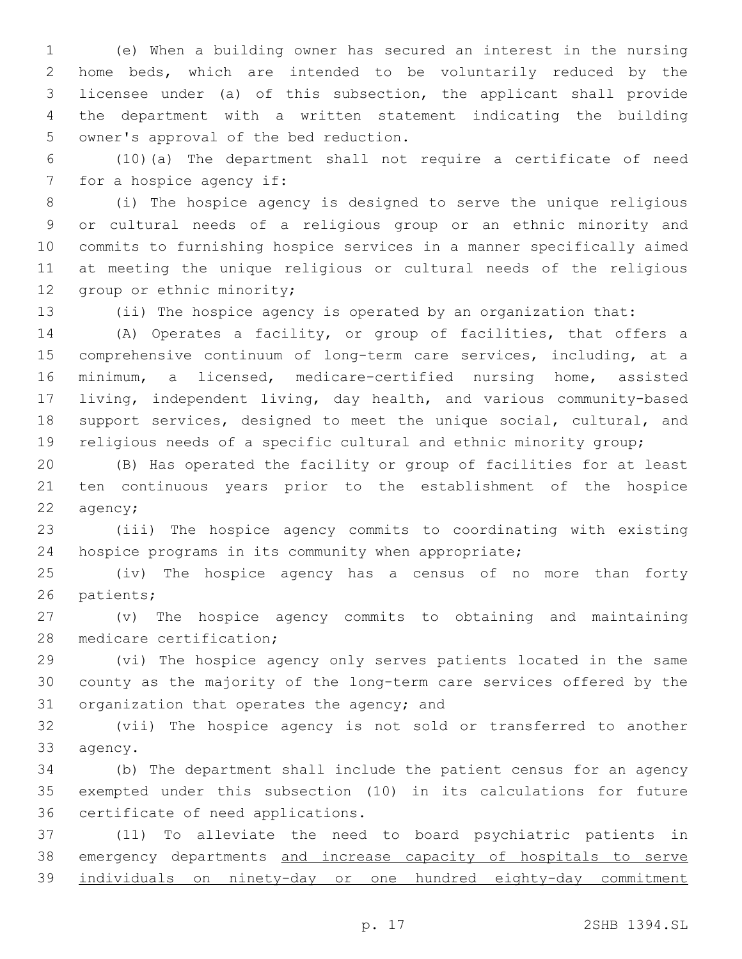(e) When a building owner has secured an interest in the nursing home beds, which are intended to be voluntarily reduced by the licensee under (a) of this subsection, the applicant shall provide the department with a written statement indicating the building 5 owner's approval of the bed reduction.

 (10)(a) The department shall not require a certificate of need 7 for a hospice agency if:

 (i) The hospice agency is designed to serve the unique religious or cultural needs of a religious group or an ethnic minority and commits to furnishing hospice services in a manner specifically aimed at meeting the unique religious or cultural needs of the religious 12 group or ethnic minority;

(ii) The hospice agency is operated by an organization that:

 (A) Operates a facility, or group of facilities, that offers a comprehensive continuum of long-term care services, including, at a minimum, a licensed, medicare-certified nursing home, assisted living, independent living, day health, and various community-based support services, designed to meet the unique social, cultural, and religious needs of a specific cultural and ethnic minority group;

 (B) Has operated the facility or group of facilities for at least ten continuous years prior to the establishment of the hospice 22 agency;

 (iii) The hospice agency commits to coordinating with existing hospice programs in its community when appropriate;

 (iv) The hospice agency has a census of no more than forty 26 patients;

 (v) The hospice agency commits to obtaining and maintaining 28 medicare certification;

 (vi) The hospice agency only serves patients located in the same county as the majority of the long-term care services offered by the 31 organization that operates the agency; and

 (vii) The hospice agency is not sold or transferred to another 33 agency.

 (b) The department shall include the patient census for an agency exempted under this subsection (10) in its calculations for future 36 certificate of need applications.

 (11) To alleviate the need to board psychiatric patients in 38 emergency departments and increase capacity of hospitals to serve individuals on ninety-day or one hundred eighty-day commitment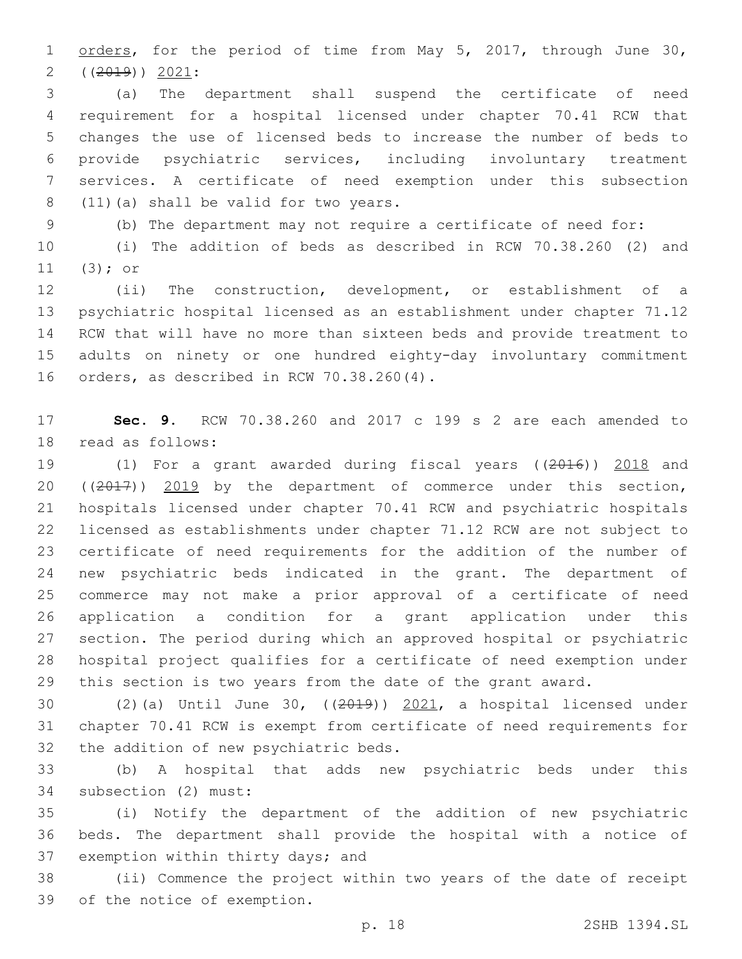1 orders, for the period of time from May 5, 2017, through June 30,  $(2019)$ )  $2021$ :

 (a) The department shall suspend the certificate of need requirement for a hospital licensed under chapter 70.41 RCW that changes the use of licensed beds to increase the number of beds to provide psychiatric services, including involuntary treatment services. A certificate of need exemption under this subsection 8 (11)(a) shall be valid for two years.

(b) The department may not require a certificate of need for:

 (i) The addition of beds as described in RCW 70.38.260 (2) and (3); or

 (ii) The construction, development, or establishment of a psychiatric hospital licensed as an establishment under chapter 71.12 RCW that will have no more than sixteen beds and provide treatment to adults on ninety or one hundred eighty-day involuntary commitment 16 orders, as described in RCW 70.38.260(4).

 **Sec. 9.** RCW 70.38.260 and 2017 c 199 s 2 are each amended to 18 read as follows:

 (1) For a grant awarded during fiscal years ((2016)) 2018 and 20 ((2017)) 2019 by the department of commerce under this section, hospitals licensed under chapter 70.41 RCW and psychiatric hospitals licensed as establishments under chapter 71.12 RCW are not subject to certificate of need requirements for the addition of the number of new psychiatric beds indicated in the grant. The department of commerce may not make a prior approval of a certificate of need application a condition for a grant application under this section. The period during which an approved hospital or psychiatric hospital project qualifies for a certificate of need exemption under this section is two years from the date of the grant award.

 (2)(a) Until June 30, ((2019)) 2021, a hospital licensed under chapter 70.41 RCW is exempt from certificate of need requirements for 32 the addition of new psychiatric beds.

 (b) A hospital that adds new psychiatric beds under this 34 subsection (2) must:

 (i) Notify the department of the addition of new psychiatric beds. The department shall provide the hospital with a notice of 37 exemption within thirty days; and

 (ii) Commence the project within two years of the date of receipt 39 of the notice of exemption.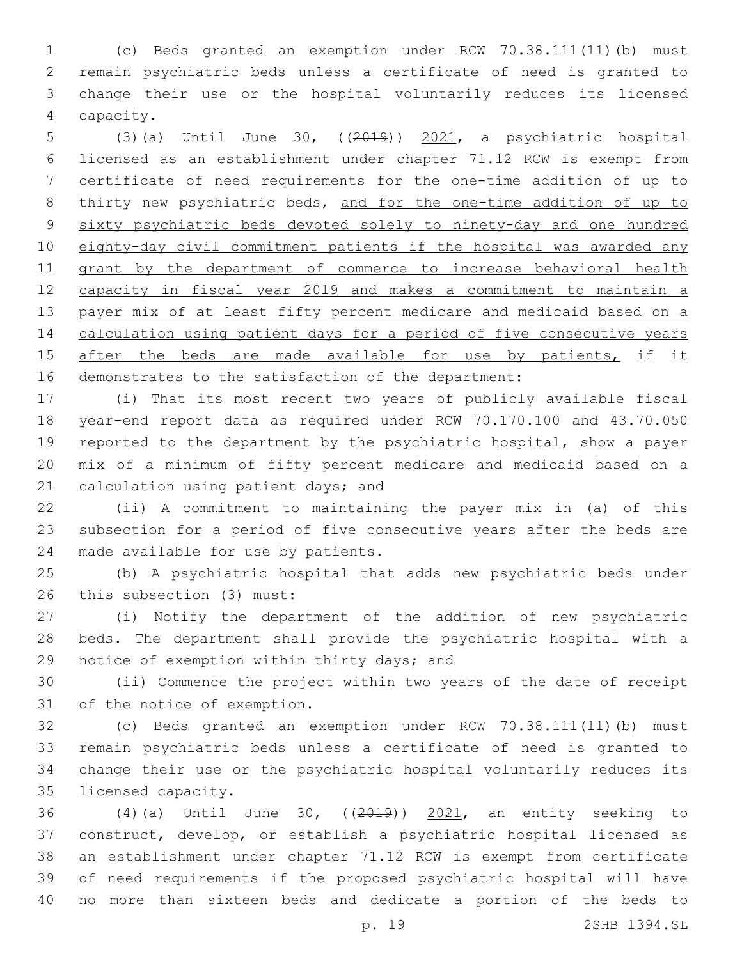(c) Beds granted an exemption under RCW 70.38.111(11)(b) must remain psychiatric beds unless a certificate of need is granted to change their use or the hospital voluntarily reduces its licensed capacity.4

 (3)(a) Until June 30, ((2019)) 2021, a psychiatric hospital licensed as an establishment under chapter 71.12 RCW is exempt from certificate of need requirements for the one-time addition of up to 8 thirty new psychiatric beds, and for the one-time addition of up to sixty psychiatric beds devoted solely to ninety-day and one hundred eighty-day civil commitment patients if the hospital was awarded any 11 grant by the department of commerce to increase behavioral health capacity in fiscal year 2019 and makes a commitment to maintain a 13 payer mix of at least fifty percent medicare and medicaid based on a calculation using patient days for a period of five consecutive years 15 after the beds are made available for use by patients, if it demonstrates to the satisfaction of the department:

 (i) That its most recent two years of publicly available fiscal year-end report data as required under RCW 70.170.100 and 43.70.050 reported to the department by the psychiatric hospital, show a payer mix of a minimum of fifty percent medicare and medicaid based on a 21 calculation using patient days; and

 (ii) A commitment to maintaining the payer mix in (a) of this subsection for a period of five consecutive years after the beds are 24 made available for use by patients.

 (b) A psychiatric hospital that adds new psychiatric beds under 26 this subsection (3) must:

 (i) Notify the department of the addition of new psychiatric beds. The department shall provide the psychiatric hospital with a 29 notice of exemption within thirty days; and

 (ii) Commence the project within two years of the date of receipt 31 of the notice of exemption.

 (c) Beds granted an exemption under RCW 70.38.111(11)(b) must remain psychiatric beds unless a certificate of need is granted to change their use or the psychiatric hospital voluntarily reduces its 35 licensed capacity.

 (4)(a) Until June 30, ((2019)) 2021, an entity seeking to construct, develop, or establish a psychiatric hospital licensed as an establishment under chapter 71.12 RCW is exempt from certificate of need requirements if the proposed psychiatric hospital will have no more than sixteen beds and dedicate a portion of the beds to

p. 19 2SHB 1394.SL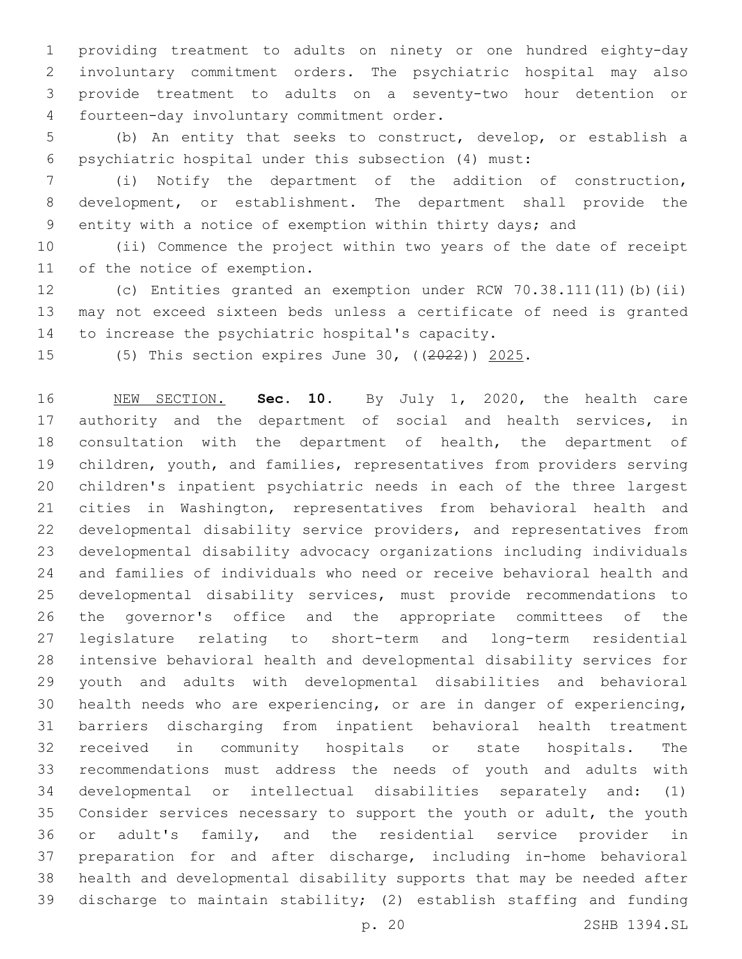providing treatment to adults on ninety or one hundred eighty-day involuntary commitment orders. The psychiatric hospital may also provide treatment to adults on a seventy-two hour detention or 4 fourteen-day involuntary commitment order.

 (b) An entity that seeks to construct, develop, or establish a psychiatric hospital under this subsection (4) must:

 (i) Notify the department of the addition of construction, development, or establishment. The department shall provide the entity with a notice of exemption within thirty days; and

 (ii) Commence the project within two years of the date of receipt 11 of the notice of exemption.

 (c) Entities granted an exemption under RCW 70.38.111(11)(b)(ii) may not exceed sixteen beds unless a certificate of need is granted 14 to increase the psychiatric hospital's capacity.

(5) This section expires June 30, ((2022)) 2025.

 NEW SECTION. **Sec. 10.** By July 1, 2020, the health care 17 authority and the department of social and health services, in consultation with the department of health, the department of children, youth, and families, representatives from providers serving children's inpatient psychiatric needs in each of the three largest cities in Washington, representatives from behavioral health and developmental disability service providers, and representatives from developmental disability advocacy organizations including individuals and families of individuals who need or receive behavioral health and developmental disability services, must provide recommendations to the governor's office and the appropriate committees of the legislature relating to short-term and long-term residential intensive behavioral health and developmental disability services for youth and adults with developmental disabilities and behavioral health needs who are experiencing, or are in danger of experiencing, barriers discharging from inpatient behavioral health treatment received in community hospitals or state hospitals. The recommendations must address the needs of youth and adults with developmental or intellectual disabilities separately and: (1) Consider services necessary to support the youth or adult, the youth or adult's family, and the residential service provider in preparation for and after discharge, including in-home behavioral health and developmental disability supports that may be needed after discharge to maintain stability; (2) establish staffing and funding

p. 20 2SHB 1394.SL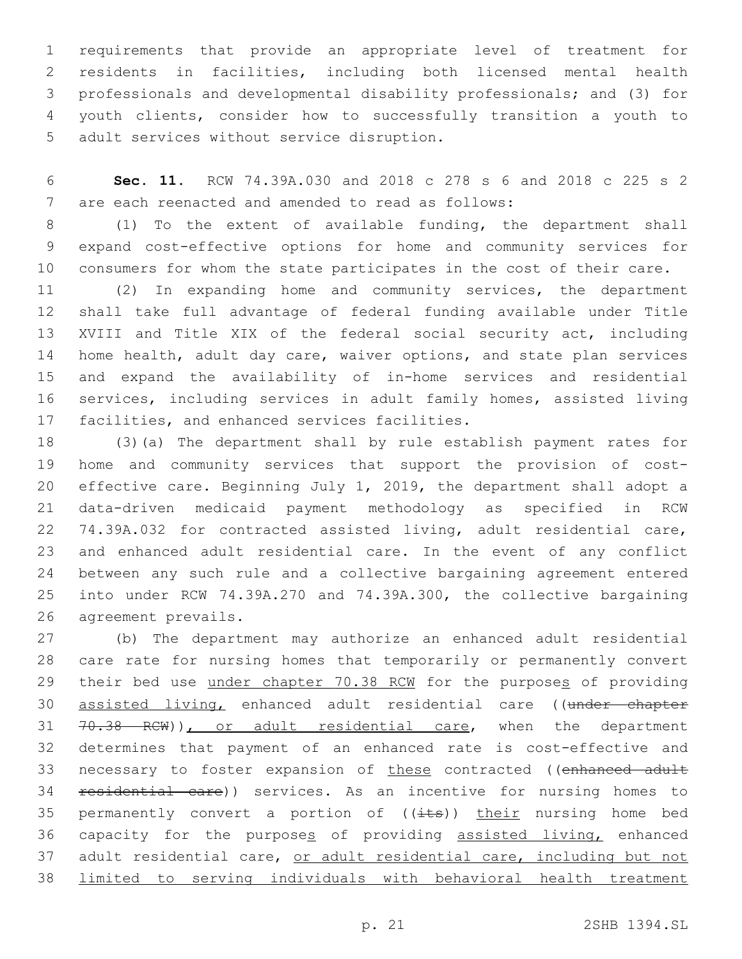requirements that provide an appropriate level of treatment for residents in facilities, including both licensed mental health professionals and developmental disability professionals; and (3) for youth clients, consider how to successfully transition a youth to 5 adult services without service disruption.

 **Sec. 11.** RCW 74.39A.030 and 2018 c 278 s 6 and 2018 c 225 s 2 7 are each reenacted and amended to read as follows:

 (1) To the extent of available funding, the department shall expand cost-effective options for home and community services for consumers for whom the state participates in the cost of their care.

 (2) In expanding home and community services, the department shall take full advantage of federal funding available under Title XVIII and Title XIX of the federal social security act, including 14 home health, adult day care, waiver options, and state plan services and expand the availability of in-home services and residential services, including services in adult family homes, assisted living 17 facilities, and enhanced services facilities.

 (3)(a) The department shall by rule establish payment rates for home and community services that support the provision of cost- effective care. Beginning July 1, 2019, the department shall adopt a data-driven medicaid payment methodology as specified in RCW 74.39A.032 for contracted assisted living, adult residential care, and enhanced adult residential care. In the event of any conflict between any such rule and a collective bargaining agreement entered into under RCW 74.39A.270 and 74.39A.300, the collective bargaining 26 agreement prevails.

 (b) The department may authorize an enhanced adult residential care rate for nursing homes that temporarily or permanently convert 29 their bed use under chapter 70.38 RCW for the purposes of providing 30 assisted living, enhanced adult residential care ((under chapter 31 70.38 RCW)), or adult residential care, when the department determines that payment of an enhanced rate is cost-effective and 33 necessary to foster expansion of these contracted ((enhanced adult 34 residential care)) services. As an incentive for nursing homes to 35 permanently convert a portion of  $((\text{its}))$  their nursing home bed capacity for the purposes of providing assisted living, enhanced 37 adult residential care, or adult residential care, including but not limited to serving individuals with behavioral health treatment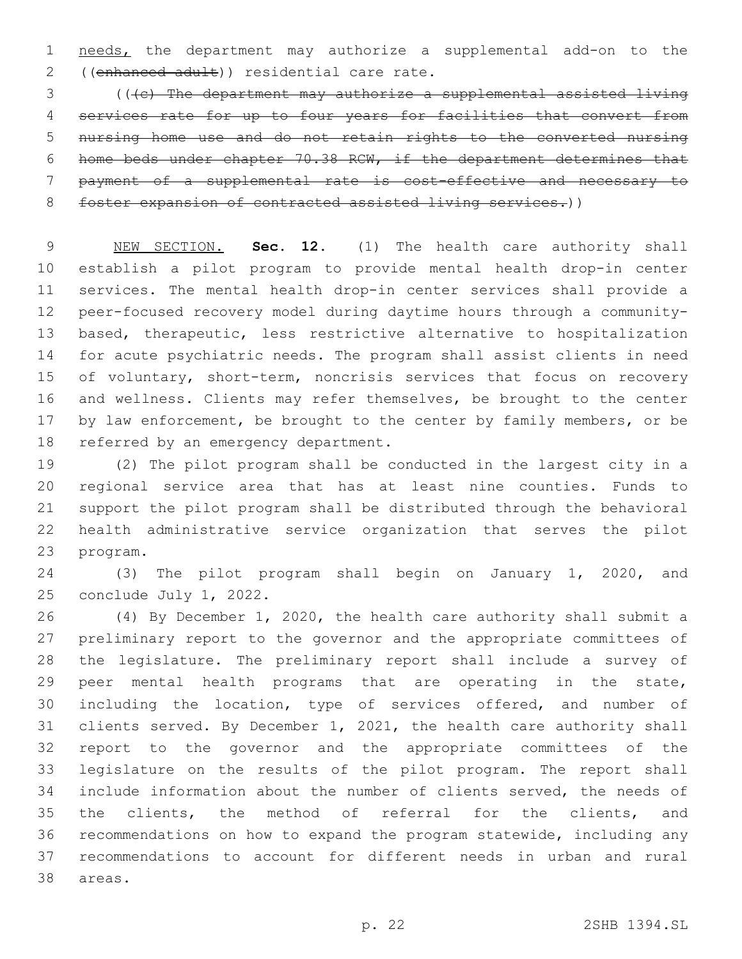needs, the department may authorize a supplemental add-on to the 2 ((enhanced adult)) residential care rate.

 (((c) The department may authorize a supplemental assisted living services rate for up to four years for facilities that convert from nursing home use and do not retain rights to the converted nursing home beds under chapter 70.38 RCW, if the department determines that payment of a supplemental rate is cost-effective and necessary to foster expansion of contracted assisted living services.))

 NEW SECTION. **Sec. 12.** (1) The health care authority shall establish a pilot program to provide mental health drop-in center services. The mental health drop-in center services shall provide a peer-focused recovery model during daytime hours through a community- based, therapeutic, less restrictive alternative to hospitalization for acute psychiatric needs. The program shall assist clients in need 15 of voluntary, short-term, noncrisis services that focus on recovery and wellness. Clients may refer themselves, be brought to the center 17 by law enforcement, be brought to the center by family members, or be referred by an emergency department.

 (2) The pilot program shall be conducted in the largest city in a regional service area that has at least nine counties. Funds to support the pilot program shall be distributed through the behavioral health administrative service organization that serves the pilot 23 program.

 (3) The pilot program shall begin on January 1, 2020, and 25 conclude July  $1, 2022.$ 

 (4) By December 1, 2020, the health care authority shall submit a preliminary report to the governor and the appropriate committees of the legislature. The preliminary report shall include a survey of peer mental health programs that are operating in the state, including the location, type of services offered, and number of clients served. By December 1, 2021, the health care authority shall report to the governor and the appropriate committees of the legislature on the results of the pilot program. The report shall include information about the number of clients served, the needs of the clients, the method of referral for the clients, and recommendations on how to expand the program statewide, including any recommendations to account for different needs in urban and rural 38 areas.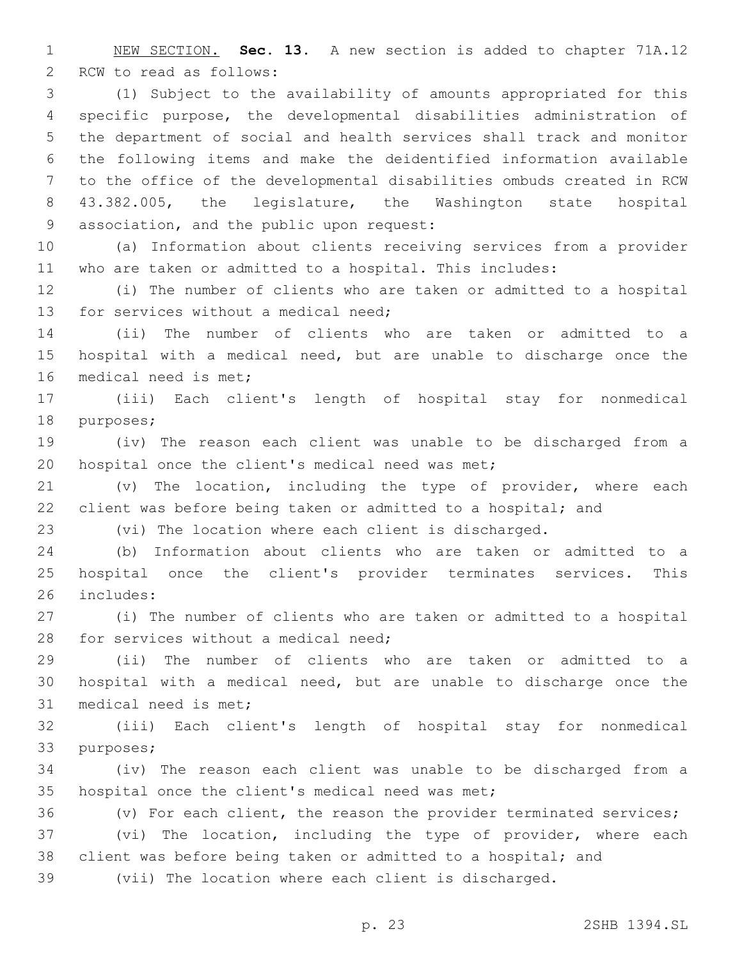NEW SECTION. **Sec. 13.** A new section is added to chapter 71A.12 2 RCW to read as follows:

 (1) Subject to the availability of amounts appropriated for this specific purpose, the developmental disabilities administration of the department of social and health services shall track and monitor the following items and make the deidentified information available to the office of the developmental disabilities ombuds created in RCW 43.382.005, the legislature, the Washington state hospital 9 association, and the public upon request:

 (a) Information about clients receiving services from a provider who are taken or admitted to a hospital. This includes:

 (i) The number of clients who are taken or admitted to a hospital 13 for services without a medical need;

 (ii) The number of clients who are taken or admitted to a hospital with a medical need, but are unable to discharge once the 16 medical need is met;

 (iii) Each client's length of hospital stay for nonmedical 18 purposes;

 (iv) The reason each client was unable to be discharged from a 20 hospital once the client's medical need was met;

 (v) The location, including the type of provider, where each 22 client was before being taken or admitted to a hospital; and

(vi) The location where each client is discharged.

 (b) Information about clients who are taken or admitted to a hospital once the client's provider terminates services. This 26 includes:

 (i) The number of clients who are taken or admitted to a hospital 28 for services without a medical need;

 (ii) The number of clients who are taken or admitted to a hospital with a medical need, but are unable to discharge once the 31 medical need is met;

 (iii) Each client's length of hospital stay for nonmedical 33 purposes;

 (iv) The reason each client was unable to be discharged from a 35 hospital once the client's medical need was met;

 (v) For each client, the reason the provider terminated services; (vi) The location, including the type of provider, where each client was before being taken or admitted to a hospital; and

(vii) The location where each client is discharged.